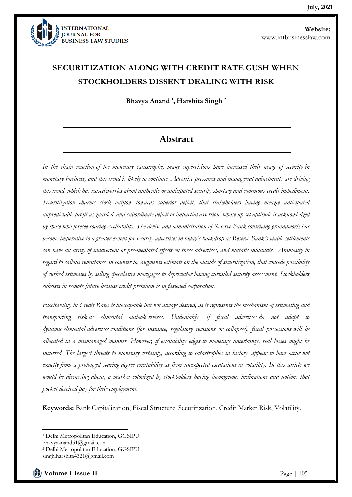

# **SECURITIZATION ALONG WITH CREDIT RATE GUSH WHEN STOCKHOLDERS DISSENT DEALING WITH RISK**

**Bhavya Anand <sup>1</sup> , Harshita Singh <sup>2</sup>**

### **Abstract**

*In the chain reaction of the monetary catastrophe, many supervisions have increased their usage of security in monetary business, and this trend is likely to continue. Advertise pressures and managerial adjustments are driving this trend, which has raised worries about authentic or anticipated security shortage and enormous credit impediment. Securitization charms stock outflow towards superior deficit, that stakeholders having meagre anticipated unpredictable profit as guarded, and subordinate deficit or impartial assertion, whose up-set aptitude is acknowledged by those who foresee soaring excitability. The devise and administration of Reserve Bank contriving groundwork has become imperative to a greater extent for security advertises in today's backdrop as Reserve Bank's viable settlements can have an array of inadvertent or pre-mediated effects on these advertises, and mutatis mutandis. Animosity in regard to callous remittance, in counter to, augments estimate on the outside of securitization, that concede possibility of curbed estimates by selling speculative mortgages to depreciator having curtailed security assessment. Stockholders subsists in remote future because credit premium is in fastened corporation.*

*Excitability in Credit Rates is inescapable but not always desired, as it represents the mechanism of estimating and transporting risk as elemental outlook revises. Undeniably, if fiscal advertises do not adapt to dynamic elemental advertises conditions (for instance, regulatory revisions or collapses), fiscal possessions will be allocated in a mismanaged manner. However, if excitability edges to monetary uncertainty, real losses might be incurred. The largest threats to monetary certainty, according to catastrophes in history, appear to have occur not exactly from a prolonged soaring degree excitability as from unexpected escalations in volatility. In this article we would be discussing about, a market colonized by stockholders having incongruous inclinations and notions that pocket deceived pay for their employment.*

**Keywords:** Bank Capitalization, Fiscal Structure, Securitization, Credit Market Risk, Volatility.

bhavyaanand51@gmail.com

<sup>1</sup> Delhi Metropolitan Education, GGSIPU

<sup>2</sup> Delhi Metropolitan Education, GGSIPU

singh.harshita4321@gmail.com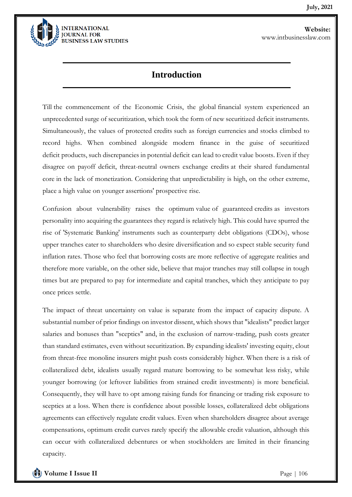

### **Introduction**

Till the commencement of the Economic Crisis, the global financial system experienced an unprecedented surge of securitization, which took the form of new securitized deficit instruments. Simultaneously, the values of protected credits such as foreign currencies and stocks climbed to record highs. When combined alongside modern finance in the guise of securitized deficit products, such discrepancies in potential deficit can lead to credit value boosts. Even if they disagree on payoff deficit, threat-neutral owners exchange credits at their shared fundamental core in the lack of monetization. Considering that unpredictability is high, on the other extreme, place a high value on younger assertions' prospective rise.

Confusion about vulnerability raises the optimum value of guaranteed credits as investors personality into acquiring the guarantees they regard is relatively high. This could have spurred the rise of 'Systematic Banking' instruments such as counterparty debt obligations (CDOs), whose upper tranches cater to shareholders who desire diversification and so expect stable security fund inflation rates. Those who feel that borrowing costs are more reflective of aggregate realities and therefore more variable, on the other side, believe that major tranches may still collapse in tough times but are prepared to pay for intermediate and capital tranches, which they anticipate to pay once prices settle.

The impact of threat uncertainty on value is separate from the impact of capacity dispute. A substantial number of prior findings on investor dissent, which shows that "idealists" predict larger salaries and bonuses than "sceptics" and, in the exclusion of narrow-trading, push costs greater than standard estimates, even without securitization. By expanding idealists' investing equity, clout from threat-free monoline insurers might push costs considerably higher. When there is a risk of collateralized debt, idealists usually regard mature borrowing to be somewhat less risky, while younger borrowing (or leftover liabilities from strained credit investments) is more beneficial. Consequently, they will have to opt among raising funds for financing or trading risk exposure to sceptics at a loss. When there is confidence about possible losses, collateralized debt obligations agreements can effectively regulate credit values. Even when shareholders disagree about average compensations, optimum credit curves rarely specify the allowable credit valuation, although this can occur with collateralized debentures or when stockholders are limited in their financing capacity.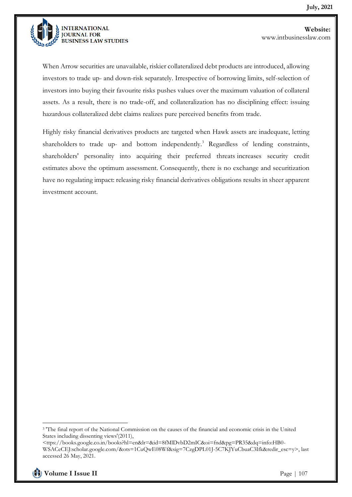

When Arrow securities are unavailable, riskier collateralized debt products are introduced, allowing investors to trade up- and down-risk separately. Irrespective of borrowing limits, self-selection of investors into buying their favourite risks pushes values over the maximum valuation of collateral assets. As a result, there is no trade-off, and collateralization has no disciplining effect: issuing hazardous collateralized debt claims realizes pure perceived benefits from trade.

Highly risky financial derivatives products are targeted when Hawk assets are inadequate, letting shareholders to trade up- and bottom independently.<sup>3</sup> Regardless of lending constraints, shareholders' personality into acquiring their preferred threats increases security credit estimates above the optimum assessment. Consequently, there is no exchange and securitization have no regulating impact: releasing risky financial derivatives obligations results in sheer apparent investment account.

<sup>&</sup>lt;sup>3</sup> The final report of the National Commission on the causes of the financial and economic crisis in the United States including dissenting views'(2011),

<sup>&</sup>lt;ttps://books.google.co.in/books?hl=en&lr=&id=8fMlDvbD2mIC&oi=fnd&pg=PR35&dq=info:HB0- WSACeCEJ:scholar.google.com/&ots=1CuQwE08Wf&sig=7CzgDPL01J-5C7KJYuCbuaC3Ifk&redir\_esc=y>, last accessed 26 May, 2021.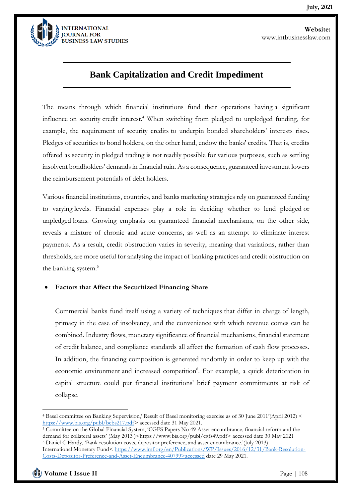

### **Bank Capitalization and Credit Impediment**

The means through which financial institutions fund their operations having a significant influence on security credit interest.<sup>4</sup> When switching from pledged to unpledged funding, for example, the requirement of security credits to underpin bonded shareholders' interests rises. Pledges of securities to bond holders, on the other hand, endow the banks' credits. That is, credits offered as security in pledged trading is not readily possible for various purposes, such as settling insolvent bondholders' demands in financial ruin. As a consequence, guaranteed investment lowers the reimbursement potentials of debt holders.

Various financial institutions, countries, and banks marketing strategies rely on guaranteed funding to varying levels. Financial expenses play a role in deciding whether to lend pledged or unpledged loans. Growing emphasis on guaranteed financial mechanisms, on the other side, reveals a mixture of chronic and acute concerns, as well as an attempt to eliminate interest payments. As a result, credit obstruction varies in severity, meaning that variations, rather than thresholds, are more useful for analysing the impact of banking practices and credit obstruction on the banking system.<sup>5</sup>

#### • **Factors that Affect the Securitized Financing Share**

Commercial banks fund itself using a variety of techniques that differ in charge of length, primacy in the case of insolvency, and the convenience with which revenue comes can be combined. Industry flows, monetary significance of financial mechanisms, financial statement of credit balance, and compliance standards all affect the formation of cash flow processes. In addition, the financing composition is generated randomly in order to keep up with the economic environment and increased competition<sup>6</sup>. For example, a quick deterioration in capital structure could put financial institutions' brief payment commitments at risk of collapse.

<sup>4</sup> Basel committee on Banking Supervision,' Result of Basel monitoring exercise as of 30 June 2011'(April 2012) < [https://www.bis.org/publ/bcbs217.pdf>](https://www.bis.org/publ/bcbs217.pdf) accessed date 31 May 2021.

<sup>5</sup> Committee on the Global Financial System, 'CGFS Papers No 49 Asset encumbrance, financial reform and the demand for collateral assets' (May 2013 )<https://www.bis.org/publ/cgfs49.pdf> accessed date 30 May 2021 <sup>6</sup> Daniel C Hardy, 'Bank resolution costs, depositor preference, and asset encumbrance.'(July 2013) International Monetary Fund< [https://www.imf.org/en/Publications/WP/Issues/2016/12/31/Bank-Resolution-](https://www.imf.org/en/Publications/WP/Issues/2016/12/31/Bank-Resolution-Costs-Depositor-Preference-and-Asset-Encumbrance-40799%3eaccessed)[Costs-Depositor-Preference-and-Asset-Encumbrance-40799>accessed](https://www.imf.org/en/Publications/WP/Issues/2016/12/31/Bank-Resolution-Costs-Depositor-Preference-and-Asset-Encumbrance-40799%3eaccessed) date 29 May 2021.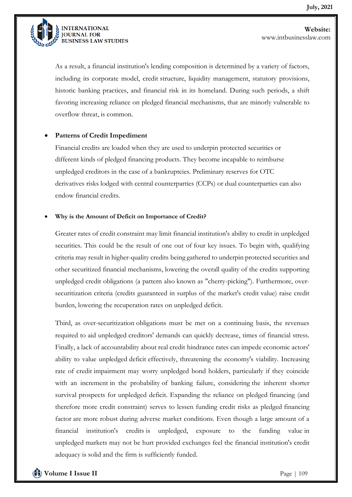

As a result, a financial institution's lending composition is determined by a variety of factors, including its corporate model, credit structure, liquidity management, statutory provisions, historic banking practices, and financial risk in its homeland. During such periods, a shift favoring increasing reliance on pledged financial mechanisms, that are minorly vulnerable to overflow threat, is common.

#### • **Patterns of Credit Impediment**

Financial credits are loaded when they are used to underpin protected securities or different kinds of pledged financing products. They become incapable to reimburse unpledged creditors in the case of a bankruptcies. Preliminary reserves for OTC derivatives risks lodged with central counterparties (CCPs) or dual counterparties can also endow financial credits.

#### • **Why is the Amount of Deficit on Importance of Credit?**

Greater rates of credit constraint may limit financial institution's ability to credit in unpledged securities. This could be the result of one out of four key issues. To begin with, qualifying criteria may result in higher-quality credits being gathered to underpin protected securities and other securitized financial mechanisms, lowering the overall quality of the credits supporting unpledged credit obligations (a pattern also known as "cherry-picking"). Furthermore, oversecuritization criteria (credits guaranteed in surplus of the market's credit value) raise credit burden, lowering the recuperation rates on unpledged deficit.

Third, as over-securitization obligations must be met on a continuing basis, the revenues required to aid unpledged creditors' demands can quickly decrease, times of financial stress. Finally, a lack of accountability about real credit hindrance rates can impede economic actors' ability to value unpledged deficit effectively, threatening the economy's viability. Increasing rate of credit impairment may worry unpledged bond holders, particularly if they coincide with an increment in the probability of banking failure, considering the inherent shorter survival prospects for unpledged deficit. Expanding the reliance on pledged financing (and therefore more credit constraint) serves to lessen funding credit risks as pledged financing factor are more robust during adverse market conditions. Even though a large amount of a financial institution's credits is unpledged, exposure to the funding value in unpledged markets may not be hurt provided exchanges feel the financial institution's credit adequacy is solid and the firm is sufficiently funded.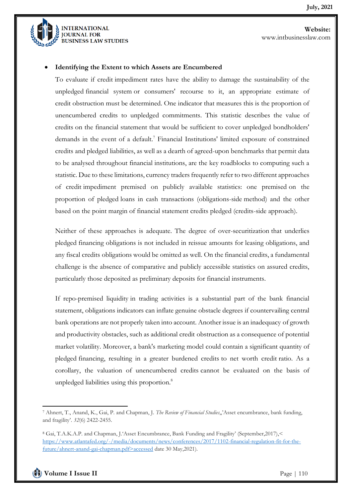

#### • **Identifying the Extent to which Assets are Encumbered**

To evaluate if credit impediment rates have the ability to damage the sustainability of the unpledged financial system or consumers' recourse to it, an appropriate estimate of credit obstruction must be determined. One indicator that measures this is the proportion of unencumbered credits to unpledged commitments. This statistic describes the value of credits on the financial statement that would be sufficient to cover unpledged bondholders' demands in the event of a default.<sup>7</sup> Financial Institutions' limited exposure of constrained credits and pledged liabilities, as well as a dearth of agreed-upon benchmarks that permit data to be analysed throughout financial institutions, are the key roadblocks to computing such a statistic. Due to these limitations, currency traders frequently refer to two different approaches of credit impediment premised on publicly available statistics: one premised on the proportion of pledged loans in cash transactions (obligations-side method) and the other based on the point margin of financial statement credits pledged (credits-side approach).

Neither of these approaches is adequate. The degree of over-securitization that underlies pledged financing obligations is not included in reissue amounts for leasing obligations, and any fiscal credits obligations would be omitted as well. On the financial credits, a fundamental challenge is the absence of comparative and publicly accessible statistics on assured credits, particularly those deposited as preliminary deposits for financial instruments.

If repo-premised liquidity in trading activities is a substantial part of the bank financial statement, obligations indicators can inflate genuine obstacle degrees if countervailing central bank operations are not properly taken into account. Another issue is an inadequacy of growth and productivity obstacles, such as additional credit obstruction as a consequence of potential market volatility. Moreover, a bank's marketing model could contain a significant quantity of pledged financing, resulting in a greater burdened credits to net worth credit ratio. As a corollary, the valuation of unencumbered credits cannot be evaluated on the basis of unpledged liabilities using this proportion.<sup>8</sup>

<sup>7</sup> Ahnert, T., Anand, K., Gai, P. and Chapman, J. *The Review of Financial Studies*,,'Asset encumbrance, bank funding, and fragility'. *32*(6) 2422-2455.

<sup>8</sup> Gai, T.A.K.A.P. and Chapman, J.'Asset Encumbrance, Bank Funding and Fragility' (September,2017),< [https://www.atlantafed.org/-/media/documents/news/conferences/2017/1102-financial-regulation-fit-for-the](https://www.atlantafed.org/-/media/documents/news/conferences/2017/1102-financial-regulation-fit-for-the-future/ahnert-anand-gai-chapman.pdf%3eaccessed)[future/ahnert-anand-gai-chapman.pdf>accessed](https://www.atlantafed.org/-/media/documents/news/conferences/2017/1102-financial-regulation-fit-for-the-future/ahnert-anand-gai-chapman.pdf%3eaccessed) date 30 May,2021).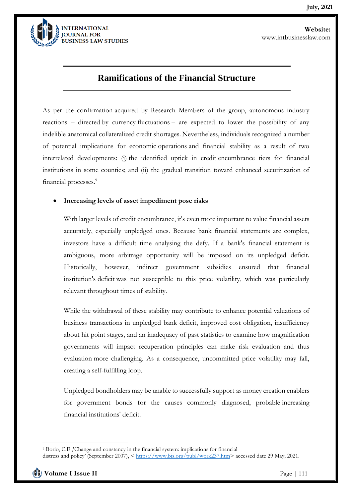

## **Ramifications of the Financial Structure**

As per the confirmation acquired by Research Members of the group, autonomous industry reactions – directed by currency fluctuations – are expected to lower the possibility of any indelible anatomical collateralized credit shortages. Nevertheless, individuals recognized a number of potential implications for economic operations and financial stability as a result of two interrelated developments: (i) the identified uptick in credit encumbrance tiers for financial institutions in some counties; and (ii) the gradual transition toward enhanced securitization of financial processes.<sup>9</sup>

#### • **Increasing levels of asset impediment pose risks**

With larger levels of credit encumbrance, it's even more important to value financial assets accurately, especially unpledged ones. Because bank financial statements are complex, investors have a difficult time analysing the defy. If a bank's financial statement is ambiguous, more arbitrage opportunity will be imposed on its unpledged deficit. Historically, however, indirect government subsidies ensured that financial institution's deficit was not susceptible to this price volatility, which was particularly relevant throughout times of stability.

While the withdrawal of these stability may contribute to enhance potential valuations of business transactions in unpledged bank deficit, improved cost obligation, insufficiency about hit point stages, and an inadequacy of past statistics to examine how magnification governments will impact recuperation principles can make risk evaluation and thus evaluation more challenging. As a consequence, uncommitted price volatility may fall, creating a self-fulfilling loop.

Unpledged bondholders may be unable to successfully support as money creation enablers for government bonds for the causes commonly diagnosed, probable increasing financial institutions' deficit.

<sup>9</sup> Borio, C.E.,'Change and constancy in the financial system: implications for financial distress and policy' (September 2007), < [https://www.bis.org/publ/work237.htm>](https://www.bis.org/publ/work237.htm) accessed date 29 May, 2021.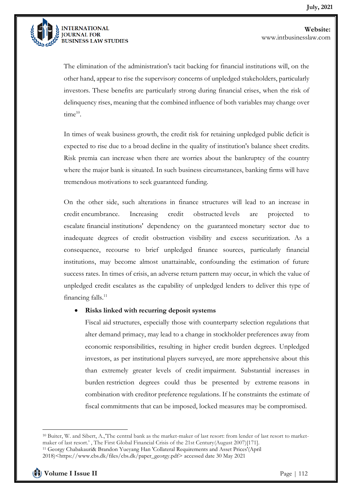

The elimination of the administration's tacit backing for financial institutions will, on the other hand, appear to rise the supervisory concerns of unpledged stakeholders, particularly investors. These benefits are particularly strong during financial crises, when the risk of delinquency rises, meaning that the combined influence of both variables may change over time<sup>10</sup>.

In times of weak business growth, the credit risk for retaining unpledged public deficit is expected to rise due to a broad decline in the quality of institution's balance sheet credits. Risk premia can increase when there are worries about the bankruptcy of the country where the major bank is situated. In such business circumstances, banking firms will have tremendous motivations to seek guaranteed funding.

On the other side, such alterations in finance structures will lead to an increase in credit encumbrance. Increasing credit obstructed levels are projected to escalate financial institutions' dependency on the guaranteed monetary sector due to inadequate degrees of credit obstruction visibility and excess securitization. As a consequence, recourse to brief unpledged finance sources, particularly financial institutions, may become almost unattainable, confounding the estimation of future success rates. In times of crisis, an adverse return pattern may occur, in which the value of unpledged credit escalates as the capability of unpledged lenders to deliver this type of financing falls.<sup>11</sup>

#### • **Risks linked with recurring deposit systems**

Fiscal aid structures, especially those with counterparty selection regulations that alter demand primacy, may lead to a change in stockholder preferences away from economic responsibilities, resulting in higher credit burden degrees. Unpledged investors, as per institutional players surveyed, are more apprehensive about this than extremely greater levels of credit impairment. Substantial increases in burden restriction degrees could thus be presented by extreme reasons in combination with creditor preference regulations. If he constraints the estimate of fiscal commitments that can be imposed, locked measures may be compromised.

<sup>10</sup> Buiter, W. and Sibert, A.,'The central bank as the market-maker of last resort: from lender of last resort to marketmaker of last resort.' , The First Global Financial Crisis of the 21st Century(August 2007)[171].

<sup>11</sup> Georgy Chabakauri& Brandon Yueyang Han 'Collateral Requirements and Asset Prices'(April

<sup>2018)&</sup>lt;https://www.cbs.dk/files/cbs.dk/paper\_georgy.pdf> accessed date 30 May 2021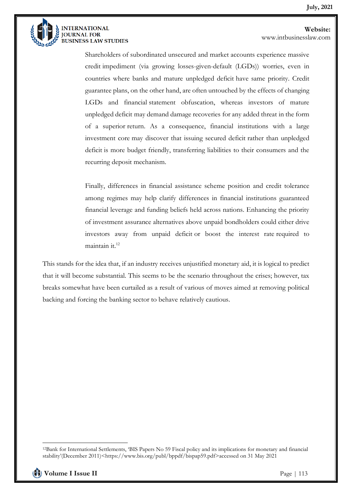

**Website:**  www.intbusinesslaw.com

Shareholders of subordinated unsecured and market accounts experience massive credit impediment (via growing losses-given-default (LGDs)) worries, even in countries where banks and mature unpledged deficit have same priority. Credit guarantee plans, on the other hand, are often untouched by the effects of changing LGDs and financial statement obfuscation, whereas investors of mature unpledged deficit may demand damage recoveries for any added threat in the form of a superior return. As a consequence, financial institutions with a large investment core may discover that issuing secured deficit rather than unpledged deficit is more budget friendly, transferring liabilities to their consumers and the recurring deposit mechanism.

Finally, differences in financial assistance scheme position and credit tolerance among regimes may help clarify differences in financial institutions guaranteed financial leverage and funding beliefs held across nations. Enhancing the priority of investment assurance alternatives above unpaid bondholders could either drive investors away from unpaid deficit or boost the interest rate required to maintain it.<sup>12</sup>

This stands for the idea that, if an industry receives unjustified monetary aid, it is logical to predict that it will become substantial. This seems to be the scenario throughout the crises; however, tax breaks somewhat have been curtailed as a result of various of moves aimed at removing political backing and forcing the banking sector to behave relatively cautious.

<sup>12</sup>Bank for International Settlements, 'BIS Papers No 59 Fiscal policy and its implications for monetary and financial stability'(December 2011)<https://www.bis.org/publ/bppdf/bispap59.pdf>accessed on 31 May 2021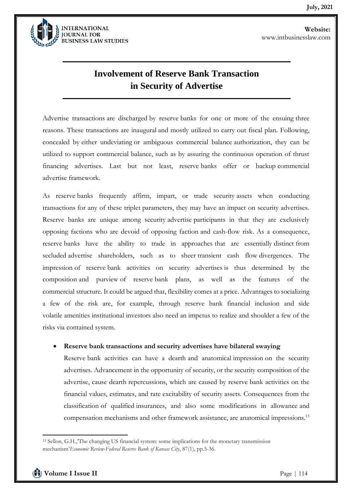

## **Involvement of Reserve Bank Transaction in Security of Advertise**

Advertise transactions are discharged by reserve banks for one or more of the ensuing three reasons. These transactions are inaugural and mostly utilized to carry out fiscal plan. Following, concealed by either undeviating or ambiguous commercial balance authorization, they can be utilized to support commercial balance, such as by assuring the continuous operation of thrust financing advertises. Last but not least, reserve banks offer or backup commercial advertise framework.

As reserve banks frequently affirm, impart, or trade security assets when conducting transactions for any of these triplet parameters, they may have an impact on security advertises. Reserve banks are unique among security advertise participants in that they are exclusively opposing factions who are devoid of opposing faction and cash-flow risk. As a consequence, reserve banks have the ability to trade in approaches that are essentially distinct from secluded advertise shareholders, such as to sheer transient cash flow divergences. The impression of reserve bank activities on security advertises is thus determined by the composition and purview of reserve bank plans, as well as the features of the commercial structure. It could be argued that, flexibility comes at a price. Advantages to socializing a few of the risk are, for example, through reserve bank financial inclusion and side volatile amenities institutional investors also need an impetus to realize and shoulder a few of the risks via contained system.

#### • **Reserve bank transactions and security advertises have bilateral swaying**

Reserve bank activities can have a dearth and anatomical impression on the security advertises. Advancement in the opportunity of security, or the security composition of the advertise, cause dearth repercussions, which are caused by reserve bank activities on the financial values, estimates, and rate excitability of security assets. Consequences from the classification of qualified insurances, and also some modifications in allowance and compensation mechanisms and other framework assistance, are anatomical impressions.<sup>13</sup>

<sup>13</sup> Sellon, G.H.,'The changing US financial system: some implications for the monetary transmission mechanism'*Economic Review-Federal Reserve Bank of Kansas City*, 87(1), pp.5-36.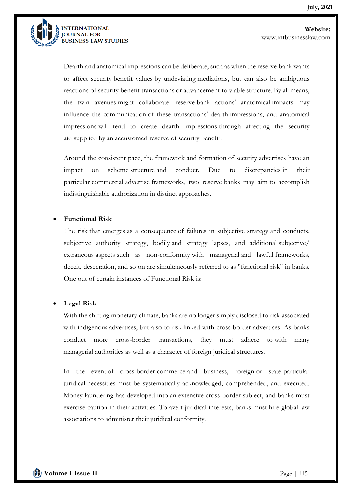

**Website:**  www.intbusinesslaw.com

Dearth and anatomical impressions can be deliberate, such as when the reserve bank wants to affect security benefit values by undeviating mediations, but can also be ambiguous reactions of security benefit transactions or advancement to viable structure. By all means, the twin avenues might collaborate: reserve bank actions' anatomical impacts may influence the communication of these transactions' dearth impressions, and anatomical impressions will tend to create dearth impressions through affecting the security aid supplied by an accustomed reserve of security benefit.

Around the consistent pace, the framework and formation of security advertises have an impact on scheme structure and conduct. Due to discrepancies in their particular commercial advertise frameworks, two reserve banks may aim to accomplish indistinguishable authorization in distinct approaches.

#### • **Functional Risk**

The risk that emerges as a consequence of failures in subjective strategy and conducts, subjective authority strategy, bodily and strategy lapses, and additional subjective/ extraneous aspects such as non-conformity with managerial and lawful frameworks, deceit, desecration, and so on are simultaneously referred to as "functional risk" in banks. One out of certain instances of Functional Risk is:

#### • **Legal Risk**

With the shifting monetary climate, banks are no longer simply disclosed to risk associated with indigenous advertises, but also to risk linked with cross border advertises. As banks conduct more cross-border transactions, they must adhere to with many managerial authorities as well as a character of foreign juridical structures.

In the event of cross-border commerce and business, foreign or state-particular juridical necessities must be systematically acknowledged, comprehended, and executed. Money laundering has developed into an extensive cross-border subject, and banks must exercise caution in their activities. To avert juridical interests, banks must hire global law associations to administer their juridical conformity.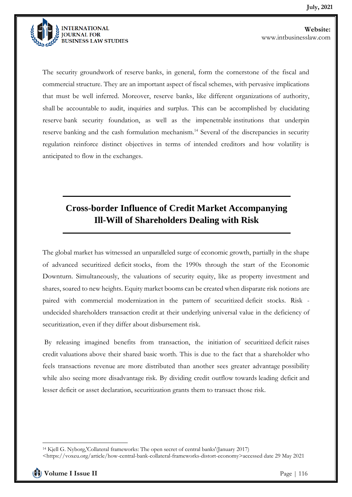

The security groundwork of reserve banks, in general, form the cornerstone of the fiscal and commercial structure. They are an important aspect of fiscal schemes, with pervasive implications that must be well inferred. Moreover, reserve banks, like different organizations of authority, shall be accountable to audit, inquiries and surplus. This can be accomplished by elucidating reserve bank security foundation, as well as the impenetrable institutions that underpin reserve banking and the cash formulation mechanism.<sup>14</sup> Several of the discrepancies in security regulation reinforce distinct objectives in terms of intended creditors and how volatility is anticipated to flow in the exchanges.

# **Cross-border Influence of Credit Market Accompanying Ill-Will of Shareholders Dealing with Risk**

The global market has witnessed an unparalleled surge of economic growth, partially in the shape of advanced securitized deficit stocks, from the 1990s through the start of the Economic Downturn. Simultaneously, the valuations of security equity, like as property investment and shares, soared to new heights. Equity market booms can be created when disparate risk notions are paired with commercial modernization in the pattern of securitized deficit stocks. Risk undecided shareholders transaction credit at their underlying universal value in the deficiency of securitization, even if they differ about disbursement risk.

By releasing imagined benefits from transaction, the initiation of securitized deficit raises credit valuations above their shared basic worth. This is due to the fact that a shareholder who feels transactions revenue are more distributed than another sees greater advantage possibility while also seeing more disadvantage risk. By dividing credit outflow towards leading deficit and lesser deficit or asset declaration, securitization grants them to transact those risk.

<sup>14</sup> Kjell G. Nyborg,'Collateral frameworks: The open secret of central banks'(January 2017)

<sup>&</sup>lt;https://voxeu.org/article/how-central-bank-collateral-frameworks-distort-economy>accessed date 29 May 2021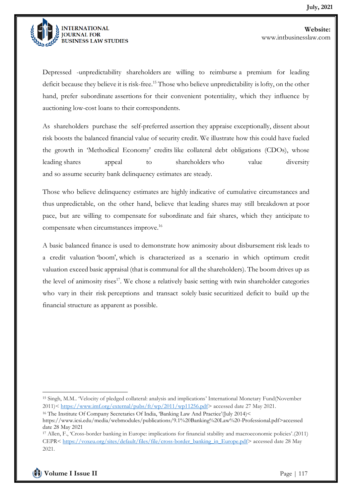

Depressed -unpredictability shareholders are willing to reimburse a premium for leading deficit because they believe it is risk-free.<sup>15</sup> Those who believe unpredictability is lofty, on the other hand, prefer subordinate assertions for their convenient potentiality, which they influence by auctioning low-cost loans to their correspondents.

As shareholders purchase the self-preferred assertion they appraise exceptionally, dissent about risk boosts the balanced financial value of security credit. We illustrate how this could have fueled the growth in 'Methodical Economy' credits like collateral debt obligations (CDOs), whose leading shares appeal to shareholders who value diversity and so assume security bank delinquency estimates are steady.

Those who believe delinquency estimates are highly indicative of cumulative circumstances and thus unpredictable, on the other hand, believe that leading shares may still breakdown at poor pace, but are willing to compensate for subordinate and fair shares, which they anticipate to compensate when circumstances improve.<sup>16</sup>

A basic balanced finance is used to demonstrate how animosity about disbursement risk leads to a credit valuation 'boom', which is characterized as a scenario in which optimum credit valuation exceed basic appraisal (that is communal for all the shareholders). The boom drives up as the level of animosity rises<sup>17</sup>. We chose a relatively basic setting with twin shareholder categories who vary in their risk perceptions and transact solely basic securitized deficit to build up the financial structure as apparent as possible.

<sup>15</sup> Singh, M.M.. 'Velocity of pledged collateral: analysis and implications' International Monetary Fund(November 2011)< [https://www.imf.org/external/pubs/ft/wp/2011/wp11256.pdf>](https://www.imf.org/external/pubs/ft/wp/2011/wp11256.pdf) accessed date 27 May 2021.

<sup>16</sup> The Institute Of Company Secretaries Of India, 'Banking Law And Practice'(July 2014)<

https://www.icsi.edu/media/webmodules/publications/9.1%20Banking%20Law%20-Professional.pdf>accessed date 28 May 2021

<sup>17</sup> Allen, F., 'Cross-border banking in Europe: implications for financial stability and macroeconomic policies'.(2011) CEPR< [https://voxeu.org/sites/default/files/file/cross-border\\_banking\\_in\\_Europe.pdf>](https://voxeu.org/sites/default/files/file/cross-border_banking_in_Europe.pdf) accessed date 28 May 2021.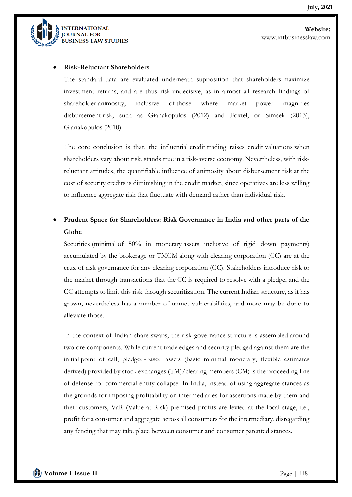

#### • **Risk-Reluctant Shareholders**

The standard data are evaluated underneath supposition that shareholders maximize investment returns, and are thus risk-undecisive, as in almost all research findings of shareholder animosity, inclusive of those where market power magnifies disbursement risk, such as Gianakopulos (2012) and Foxtel, or Simsek (2013), Gianakopulos (2010).

The core conclusion is that, the influential credit trading raises credit valuations when shareholders vary about risk, stands true in a risk-averse economy. Nevertheless, with riskreluctant attitudes, the quantifiable influence of animosity about disbursement risk at the cost of security credits is diminishing in the credit market, since operatives are less willing to influence aggregate risk that fluctuate with demand rather than individual risk.

### • **Prudent Space for Shareholders: Risk Governance in India and other parts of the Globe**

Securities (minimal of 50% in monetary assets inclusive of rigid down payments) accumulated by the brokerage or TMCM along with clearing corporation (CC) are at the crux of risk governance for any clearing corporation (CC). Stakeholders introduce risk to the market through transactions that the CC is required to resolve with a pledge, and the CC attempts to limit this risk through securitization. The current Indian structure, as it has grown, nevertheless has a number of unmet vulnerabilities, and more may be done to alleviate those.

In the context of Indian share swaps, the risk governance structure is assembled around two ore components. While current trade edges and security pledged against them are the initial point of call, pledged-based assets (basic minimal monetary, flexible estimates derived) provided by stock exchanges (TM)/clearing members (CM) is the proceeding line of defense for commercial entity collapse. In India, instead of using aggregate stances as the grounds for imposing profitability on intermediaries for assertions made by them and their customers, VaR (Value at Risk) premised profits are levied at the local stage, i.e., profit for a consumer and aggregate across all consumers for the intermediary, disregarding any fencing that may take place between consumer and consumer patented stances.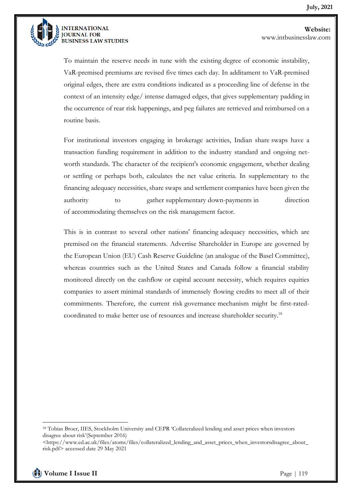

**Website:**  www.intbusinesslaw.com

To maintain the reserve needs in tune with the existing degree of economic instability, VaR-premised premiums are revised five times each day. In additament to VaR-premised original edges, there are extra conditions indicated as a proceeding line of defense in the context of an intensity edge/ intense damaged edges, that gives supplementary padding in the occurrence of rear risk happenings, and peg failures are retrieved and reimbursed on a routine basis.

For institutional investors engaging in brokerage activities, Indian share swaps have a transaction funding requirement in addition to the industry standard and ongoing networth standards. The character of the recipient's economic engagement, whether dealing or settling or perhaps both, calculates the net value criteria. In supplementary to the financing adequacy necessities, share swaps and settlement companies have been given the authority to gather supplementary down-payments in direction of accommodating themselves on the risk management factor.

This is in contrast to several other nations' financing adequacy necessities, which are premised on the financial statements. Advertise Shareholder in Europe are governed by the European Union (EU) Cash Reserve Guideline (an analogue of the Basel Committee), whereas countries such as the United States and Canada follow a financial stability monitored directly on the cashflow or capital account necessity, which requires equities companies to assert minimal standards of immensely flowing credits to meet all of their commitments. Therefore, the current risk governance mechanism might be first-ratedcoordinated to make better use of resources and increase shareholder security.<sup>18</sup>

<sup>18</sup> Tobias Broer, IIES, Stockholm University and CEPR 'Collateralized lending and asset prices when investors disagree about risk'(September 2016)

<sup>&</sup>lt;https://www.ed.ac.uk/files/atoms/files/collateralized\_lending\_and\_asset\_prices\_when\_investorsdisagree\_about\_ risk.pdf> accessed date 29 May 2021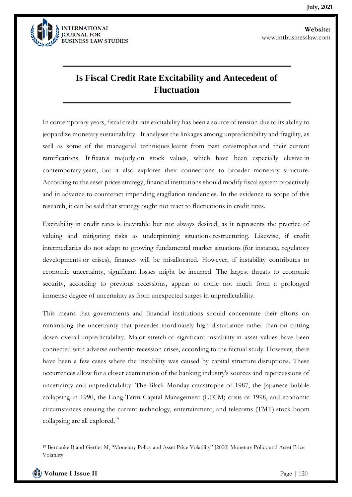

# **Is Fiscal Credit Rate Excitability and Antecedent of Fluctuation**

In contemporary years, fiscal credit rate excitability has been a source of tension due to its ability to jeopardize monetary sustainability. It analyses the linkages among unpredictability and fragility, as well as some of the managerial techniques learnt from past catastrophes and their current ramifications. It fixates majorly on stock values, which have been especially elusive in contemporary years, but it also explores their connections to broader monetary structure. According to the asset prices strategy, financial institutions should modify fiscal system proactively and in advance to counteract impending stagflation tendencies. In the evidence to scope of this research, it can be said that strategy ought not react to fluctuations in credit rates.

Excitability in credit rates is inevitable but not always desired, as it represents the practice of valuing and mitigating risks as underpinning situations restructuring. Likewise, if credit intermediaries do not adapt to growing fundamental market situations (for instance, regulatory developments or crises), finances will be misallocated. However, if instability contributes to economic uncertainty, significant losses might be incurred. The largest threats to economic security, according to previous recessions, appear to come not much from a prolonged immense degree of uncertainty as from unexpected surges in unpredictability.

This means that governments and financial institutions should concentrate their efforts on minimizing the uncertainty that precedes inordinately high disturbance rather than on cutting down overall unpredictability. Major stretch of significant instability in asset values have been connected with adverse authentic-recession crises, according to the factual study. However, there have been a few cases where the instability was caused by capital structure disruptions. These occurrences allow for a closer examination of the banking industry's sources and repercussions of uncertainty and unpredictability. The Black Monday catastrophe of 1987, the Japanese bubble collapsing in 1990, the Long-Term Capital Management (LTCM) crisis of 1998, and economic circumstances ensuing the current technology, entertainment, and telecoms (TMT) stock boom collapsing are all explored.<sup>19</sup>

<sup>19</sup> Bernanke B and Gertler M, "Monetary Policy and Asset Price Volatility" [2000] Monetary Policy and Asset Price Volatility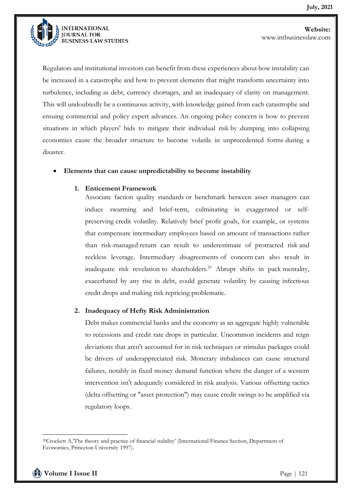

Regulators and institutional investors can benefit from these experiences about how instability can be increased in a catastrophe and how to prevent elements that might transform uncertainty into turbulence, including as debt, currency shortages, and an inadequacy of clarity on management. This will undoubtedly be a continuous activity, with knowledge gained from each catastrophe and ensuing commercial and policy expert advances. An ongoing policy concern is how to prevent situations in which players' bids to mitigate their individual risk by dumping into collapsing economies cause the broader structure to become volatile in unprecedented forms during a disaster.

#### • **Elements that can cause unpredictability to become instability**

#### **1. Enticement Framework**

Associate faction quality standards or benchmark between asset managers can induce swarming and brief-term, culminating in exaggerated or selfpreserving credit volatility. Relatively brief profit goals, for example, or systems that compensate intermediary employees based on amount of transactions rather than risk-managed return can result to underestimate of protracted risk and reckless leverage. Intermediary disagreements of concern can also result in inadequate risk revelation to shareholders.<sup>20</sup> Abrupt shifts in pack mentality, exacerbated by any rise in debt, could generate volatility by causing infectious credit drops and making risk repricing problematic.

#### **2. Inadequacy of Hefty Risk Administration**

Debt makes commercial banks and the economy as an aggregate highly vulnerable to recessions and credit rate drops in particular. Uncommon incidents and reign deviations that aren't accounted for in risk techniques or stimulus packages could be drivers of underappreciated risk. Monetary imbalances can cause structural failures, notably in fixed money demand function where the danger of a western intervention isn't adequately considered in risk analysis. Various offsetting tactics (delta offsetting or "asset protection") may cause credit swings to be amplified via regulatory loops.

<sup>20</sup>Crockett A,'The theory and practice of financial stability' (International Finance Section, Department of Economics, Princeton University 1997).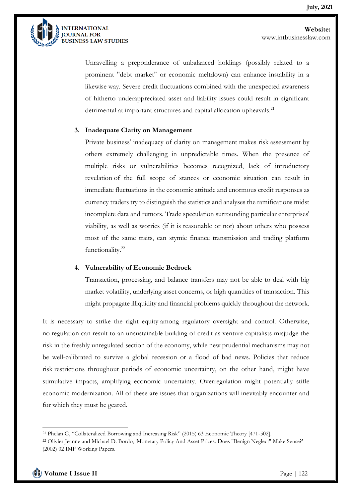

Unravelling a preponderance of unbalanced holdings (possibly related to a prominent "debt market" or economic meltdown) can enhance instability in a likewise way. Severe credit fluctuations combined with the unexpected awareness of hitherto underappreciated asset and liability issues could result in significant detrimental at important structures and capital allocation upheavals.<sup>21</sup>

#### **3. Inadequate Clarity on Management**

Private business' inadequacy of clarity on management makes risk assessment by others extremely challenging in unpredictable times. When the presence of multiple risks or vulnerabilities becomes recognized, lack of introductory revelation of the full scope of stances or economic situation can result in immediate fluctuations in the economic attitude and enormous credit responses as currency traders try to distinguish the statistics and analyses the ramifications midst incomplete data and rumors. Trade speculation surrounding particular enterprises' viability, as well as worries (if it is reasonable or not) about others who possess most of the same traits, can stymie finance transmission and trading platform functionality. 22

#### **4. Vulnerability of Economic Bedrock**

Transaction, processing, and balance transfers may not be able to deal with big market volatility, underlying asset concerns, or high quantities of transaction. This might propagate illiquidity and financial problems quickly throughout the network.

It is necessary to strike the right equity among regulatory oversight and control. Otherwise, no regulation can result to an unsustainable building of credit as venture capitalists misjudge the risk in the freshly unregulated section of the economy, while new prudential mechanisms may not be well-calibrated to survive a global recession or a flood of bad news. Policies that reduce risk restrictions throughout periods of economic uncertainty, on the other hand, might have stimulative impacts, amplifying economic uncertainty. Overregulation might potentially stifle economic modernization. All of these are issues that organizations will inevitably encounter and for which they must be geared.

<sup>21</sup> Phelan G, "Collateralized Borrowing and Increasing Risk" (2015) 63 Economic Theory [471-502].

<sup>22</sup> Olivier Jeanne and Michael D. Bordo, 'Monetary Policy And Asset Prices: Does "Benign Neglect" Make Sense?' (2002) 02 IMF Working Papers.